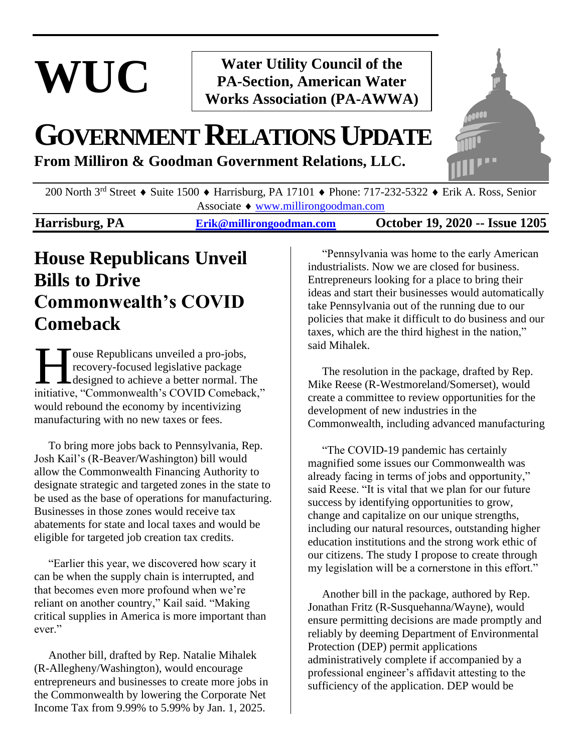# **WUC**

#### **Water Utility Council of the PA-Section, American Water Works Association (PA-AWWA)**

## **GOVERNMENTRELATIONSUPDATE**

**From Milliron & Goodman Government Relations, LLC.**



200 North 3<sup>rd</sup> Street • Suite 1500 • Harrisburg, PA 17101 • Phone: 717-232-5322 • Erik A. Ross, Senior Associate ♦ [www.millirongoodman.com](http://www.millirongoodman.com/)

#### **Harrisburg, PA [Erik@millirongoodman.com](mailto:Erik@millirongoodman.com) October 19, 2020 -- Issue 1205**

## **House Republicans Unveil Bills to Drive Commonwealth's COVID Comeback**

ouse Republicans unveiled a pro-jobs, recovery-focused legislative package designed to achieve a better normal. The I ouse Republicans unveiled a pro-jobs,<br>recovery-focused legislative package<br>designed to achieve a better normal. The<br>initiative, "Commonwealth's COVID Comeback," would rebound the economy by incentivizing manufacturing with no new taxes or fees.

 To bring more jobs back to Pennsylvania, Rep. Josh Kail's (R-Beaver/Washington) bill would allow the Commonwealth Financing Authority to designate strategic and targeted zones in the state to be used as the base of operations for manufacturing. Businesses in those zones would receive tax abatements for state and local taxes and would be eligible for targeted job creation tax credits.

 "Earlier this year, we discovered how scary it can be when the supply chain is interrupted, and that becomes even more profound when we're reliant on another country," Kail said. "Making critical supplies in America is more important than ever."

 Another bill, drafted by Rep. Natalie Mihalek (R-Allegheny/Washington), would encourage entrepreneurs and businesses to create more jobs in the Commonwealth by lowering the Corporate Net Income Tax from 9.99% to 5.99% by Jan. 1, 2025.

 "Pennsylvania was home to the early American industrialists. Now we are closed for business. Entrepreneurs looking for a place to bring their ideas and start their businesses would automatically take Pennsylvania out of the running due to our policies that make it difficult to do business and our taxes, which are the third highest in the nation," said Mihalek.

 The resolution in the package, drafted by Rep. Mike Reese (R-Westmoreland/Somerset), would create a committee to review opportunities for the development of new industries in the Commonwealth, including advanced manufacturing

 "The COVID-19 pandemic has certainly magnified some issues our Commonwealth was already facing in terms of jobs and opportunity," said Reese. "It is vital that we plan for our future success by identifying opportunities to grow, change and capitalize on our unique strengths, including our natural resources, outstanding higher education institutions and the strong work ethic of our citizens. The study I propose to create through my legislation will be a cornerstone in this effort."

 Another bill in the package, authored by Rep. Jonathan Fritz (R-Susquehanna/Wayne), would ensure permitting decisions are made promptly and reliably by deeming Department of Environmental Protection (DEP) permit applications administratively complete if accompanied by a professional engineer's affidavit attesting to the sufficiency of the application. DEP would be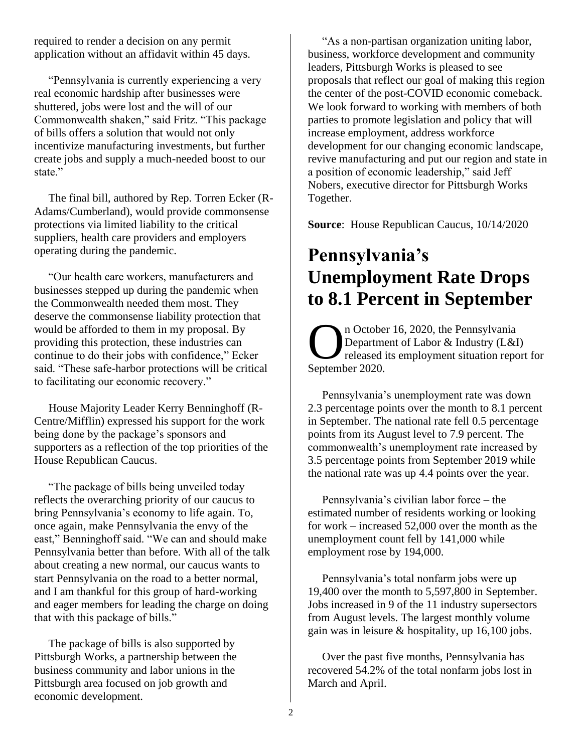required to render a decision on any permit application without an affidavit within 45 days.

 "Pennsylvania is currently experiencing a very real economic hardship after businesses were shuttered, jobs were lost and the will of our Commonwealth shaken," said Fritz. "This package of bills offers a solution that would not only incentivize manufacturing investments, but further create jobs and supply a much-needed boost to our state."

 The final bill, authored by Rep. Torren Ecker (R-Adams/Cumberland), would provide commonsense protections via limited liability to the critical suppliers, health care providers and employers operating during the pandemic.

 "Our health care workers, manufacturers and businesses stepped up during the pandemic when the Commonwealth needed them most. They deserve the commonsense liability protection that would be afforded to them in my proposal. By providing this protection, these industries can continue to do their jobs with confidence," Ecker said. "These safe-harbor protections will be critical to facilitating our economic recovery."

 House Majority Leader Kerry Benninghoff (R-Centre/Mifflin) expressed his support for the work being done by the package's sponsors and supporters as a reflection of the top priorities of the House Republican Caucus.

 "The package of bills being unveiled today reflects the overarching priority of our caucus to bring Pennsylvania's economy to life again. To, once again, make Pennsylvania the envy of the east," Benninghoff said. "We can and should make Pennsylvania better than before. With all of the talk about creating a new normal, our caucus wants to start Pennsylvania on the road to a better normal, and I am thankful for this group of hard-working and eager members for leading the charge on doing that with this package of bills."

 The package of bills is also supported by Pittsburgh Works, a partnership between the business community and labor unions in the Pittsburgh area focused on job growth and economic development.

 "As a non-partisan organization uniting labor, business, workforce development and community leaders, Pittsburgh Works is pleased to see proposals that reflect our goal of making this region the center of the post-COVID economic comeback. We look forward to working with members of both parties to promote legislation and policy that will increase employment, address workforce development for our changing economic landscape, revive manufacturing and put our region and state in a position of economic leadership," said Jeff Nobers, executive director for Pittsburgh Works Together.

**Source**: House Republican Caucus, 10/14/2020

## **Pennsylvania's Unemployment Rate Drops to 8.1 Percent in September**

n October 16, 2020, the Pennsylvania Department of Labor & Industry (L&I) released its employment situation report for n October<br>
Departme<br>
September 2020.

 Pennsylvania's unemployment rate was down 2.3 percentage points over the month to 8.1 percent in September. The national rate fell 0.5 percentage points from its August level to 7.9 percent. The commonwealth's unemployment rate increased by 3.5 percentage points from September 2019 while the national rate was up 4.4 points over the year.

 Pennsylvania's civilian labor force – the estimated number of residents working or looking for work – increased 52,000 over the month as the unemployment count fell by 141,000 while employment rose by 194,000.

 Pennsylvania's total nonfarm jobs were up 19,400 over the month to 5,597,800 in September. Jobs increased in 9 of the 11 industry supersectors from August levels. The largest monthly volume gain was in leisure & hospitality, up 16,100 jobs.

 Over the past five months, Pennsylvania has recovered 54.2% of the total nonfarm jobs lost in March and April.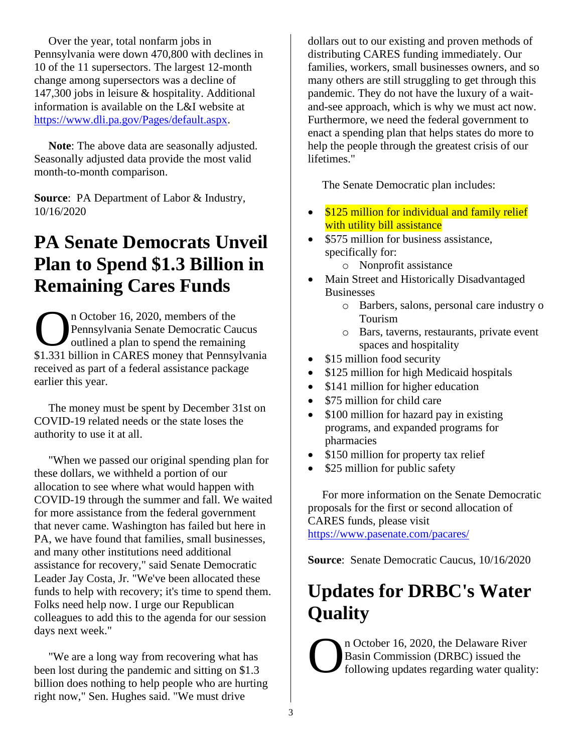Over the year, total nonfarm jobs in Pennsylvania were down 470,800 with declines in 10 of the 11 supersectors. The largest 12-month change among supersectors was a decline of 147,300 jobs in leisure & hospitality. Additional information is available on the L&I website at [https://www.dli.pa.gov/Pages/default.aspx.](https://www.dli.pa.gov/Pages/default.aspx)

 **Note**: The above data are seasonally adjusted. Seasonally adjusted data provide the most valid month-to-month comparison.

**Source**: PA Department of Labor & Industry, 10/16/2020

#### **PA Senate Democrats Unveil Plan to Spend \$1.3 Billion in Remaining Cares Funds**

n October 16, 2020, members of the Pennsylvania Senate Democratic Caucus outlined a plan to spend the remaining n October 16, 2020, members of the<br>Pennsylvania Senate Democratic Caucus<br>
outlined a plan to spend the remaining<br>
\$1.331 billion in CARES money that Pennsylvania received as part of a federal assistance package earlier this year.

 The money must be spent by December 31st on COVID-19 related needs or the state loses the authority to use it at all.

 "When we passed our original spending plan for these dollars, we withheld a portion of our allocation to see where what would happen with COVID-19 through the summer and fall. We waited for more assistance from the federal government that never came. Washington has failed but here in PA, we have found that families, small businesses, and many other institutions need additional assistance for recovery," said Senate Democratic Leader Jay Costa, Jr. "We've been allocated these funds to help with recovery; it's time to spend them. Folks need help now. I urge our Republican colleagues to add this to the agenda for our session days next week."

 "We are a long way from recovering what has been lost during the pandemic and sitting on \$1.3 billion does nothing to help people who are hurting right now," Sen. Hughes said. "We must drive

dollars out to our existing and proven methods of distributing CARES funding immediately. Our families, workers, small businesses owners, and so many others are still struggling to get through this pandemic. They do not have the luxury of a waitand-see approach, which is why we must act now. Furthermore, we need the federal government to enact a spending plan that helps states do more to help the people through the greatest crisis of our lifetimes."

The Senate Democratic plan includes:

- \$125 million for individual and family relief with utility bill assistance
- \$575 million for business assistance, specifically for:
	- o Nonprofit assistance
- Main Street and Historically Disadvantaged Businesses
	- o Barbers, salons, personal care industry o Tourism
	- o Bars, taverns, restaurants, private event spaces and hospitality
- \$15 million food security
- \$125 million for high Medicaid hospitals
- \$141 million for higher education
- \$75 million for child care
- \$100 million for hazard pay in existing programs, and expanded programs for pharmacies
- \$150 million for property tax relief
- \$25 million for public safety

 For more information on the Senate Democratic proposals for the first or second allocation of CARES funds, please visit <https://www.pasenate.com/pacares/>

**Source**: Senate Democratic Caucus, 10/16/2020

## **Updates for DRBC's Water Quality**

n October 16, 2020, the Delaware River Basin Commission (DRBC) issued the following updates regarding water quality: O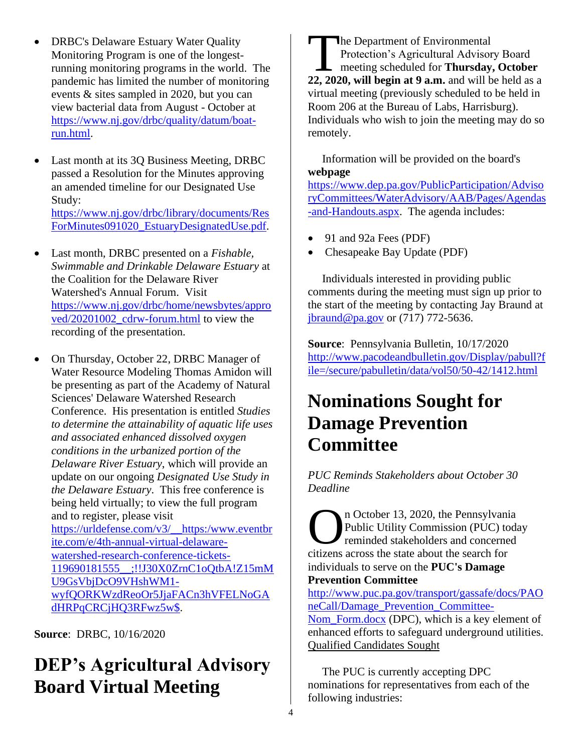- DRBC's Delaware Estuary Water Quality Monitoring Program is one of the longestrunning monitoring programs in the world. The pandemic has limited the number of monitoring events & sites sampled in 2020, but you can view bacterial data from August - October at [https://www.nj.gov/drbc/quality/datum/boat](https://www.nj.gov/drbc/quality/datum/boat-run.html)[run.html.](https://www.nj.gov/drbc/quality/datum/boat-run.html)
- Last month at its 3Q Business Meeting, DRBC passed a Resolution for the Minutes approving an amended timeline for our Designated Use Study: [https://www.nj.gov/drbc/library/documents/Res](https://www.nj.gov/drbc/library/documents/ResForMinutes091020_EstuaryDesignatedUse.pdf) [ForMinutes091020\\_EstuaryDesignatedUse.pdf.](https://www.nj.gov/drbc/library/documents/ResForMinutes091020_EstuaryDesignatedUse.pdf)
- Last month, DRBC presented on a *Fishable, Swimmable and Drinkable Delaware Estuary* at the Coalition for the Delaware River Watershed's Annual Forum. Visit [https://www.nj.gov/drbc/home/newsbytes/appro](https://www.nj.gov/drbc/home/newsbytes/approved/20201002_cdrw-forum.html) [ved/20201002\\_cdrw-forum.html](https://www.nj.gov/drbc/home/newsbytes/approved/20201002_cdrw-forum.html) to view the recording of the presentation.
- On Thursday, October 22, DRBC Manager of Water Resource Modeling Thomas Amidon will be presenting as part of the Academy of Natural Sciences' Delaware Watershed Research Conference. His presentation is entitled *Studies to determine the attainability of aquatic life uses and associated enhanced dissolved oxygen conditions in the urbanized portion of the Delaware River Estuary*, which will provide an update on our ongoing *Designated Use Study in the Delaware Estuary*. This free conference is being held virtually; to view the full program and to register, please visit [https://urldefense.com/v3/\\_\\_https:/www.eventbr](https://urldefense.com/v3/__https:/www.eventbrite.com/e/4th-annual-virtual-delaware-watershed-research-conference-tickets-119690181555__;!!J30X0ZrnC1oQtbA!Z15mMU9GsVbjDcO9VHshWM1-wyfQORKWzdReoOr5JjaFACn3hVFELNoGAdHRPqCRCjHQ3RFwz5w$) [ite.com/e/4th-annual-virtual-delaware](https://urldefense.com/v3/__https:/www.eventbrite.com/e/4th-annual-virtual-delaware-watershed-research-conference-tickets-119690181555__;!!J30X0ZrnC1oQtbA!Z15mMU9GsVbjDcO9VHshWM1-wyfQORKWzdReoOr5JjaFACn3hVFELNoGAdHRPqCRCjHQ3RFwz5w$)[watershed-research-conference-tickets-](https://urldefense.com/v3/__https:/www.eventbrite.com/e/4th-annual-virtual-delaware-watershed-research-conference-tickets-119690181555__;!!J30X0ZrnC1oQtbA!Z15mMU9GsVbjDcO9VHshWM1-wyfQORKWzdReoOr5JjaFACn3hVFELNoGAdHRPqCRCjHQ3RFwz5w$)[119690181555\\_\\_;!!J30X0ZrnC1oQtbA!Z15mM](https://urldefense.com/v3/__https:/www.eventbrite.com/e/4th-annual-virtual-delaware-watershed-research-conference-tickets-119690181555__;!!J30X0ZrnC1oQtbA!Z15mMU9GsVbjDcO9VHshWM1-wyfQORKWzdReoOr5JjaFACn3hVFELNoGAdHRPqCRCjHQ3RFwz5w$) [U9GsVbjDcO9VHshWM1](https://urldefense.com/v3/__https:/www.eventbrite.com/e/4th-annual-virtual-delaware-watershed-research-conference-tickets-119690181555__;!!J30X0ZrnC1oQtbA!Z15mMU9GsVbjDcO9VHshWM1-wyfQORKWzdReoOr5JjaFACn3hVFELNoGAdHRPqCRCjHQ3RFwz5w$) [wyfQORKWzdReoOr5JjaFACn3hVFELNoGA](https://urldefense.com/v3/__https:/www.eventbrite.com/e/4th-annual-virtual-delaware-watershed-research-conference-tickets-119690181555__;!!J30X0ZrnC1oQtbA!Z15mMU9GsVbjDcO9VHshWM1-wyfQORKWzdReoOr5JjaFACn3hVFELNoGAdHRPqCRCjHQ3RFwz5w$) [dHRPqCRCjHQ3RFwz5w\\$.](https://urldefense.com/v3/__https:/www.eventbrite.com/e/4th-annual-virtual-delaware-watershed-research-conference-tickets-119690181555__;!!J30X0ZrnC1oQtbA!Z15mMU9GsVbjDcO9VHshWM1-wyfQORKWzdReoOr5JjaFACn3hVFELNoGAdHRPqCRCjHQ3RFwz5w$)

**Source**: DRBC, 10/16/2020

## **DEP's Agricultural Advisory Board Virtual Meeting**

**The Department of Environmental** Protection's Agricultural Advisory Board meeting scheduled for **Thursday, October**  The Department of Environmental<br>
Protection's Agricultural Advisory Board<br>
meeting scheduled for **Thursday**, October<br>
22, 2020, will begin at 9 a.m. and will be held as a virtual meeting (previously scheduled to be held in Room 206 at the Bureau of Labs, Harrisburg). Individuals who wish to join the meeting may do so remotely.

 Information will be provided on the board's **webpage** [https://www.dep.pa.gov/PublicParticipation/Adviso](https://www.dep.pa.gov/PublicParticipation/AdvisoryCommittees/WaterAdvisory/AAB/Pages/Agendas-and-Handouts.aspx)

[ryCommittees/WaterAdvisory/AAB/Pages/Agendas](https://www.dep.pa.gov/PublicParticipation/AdvisoryCommittees/WaterAdvisory/AAB/Pages/Agendas-and-Handouts.aspx) [-and-Handouts.aspx.](https://www.dep.pa.gov/PublicParticipation/AdvisoryCommittees/WaterAdvisory/AAB/Pages/Agendas-and-Handouts.aspx) The agenda includes:

- 91 and 92a Fees (PDF)
- Chesapeake Bay Update (PDF)

 Individuals interested in providing public comments during the meeting must sign up prior to the start of the meeting by contacting Jay Braund at [jbraund@pa.gov](mailto:jbraund@pa.gov) or (717) 772-5636.

**Source**: Pennsylvania Bulletin, 10/17/2020 [http://www.pacodeandbulletin.gov/Display/pabull?f](http://www.pacodeandbulletin.gov/Display/pabull?file=/secure/pabulletin/data/vol50/50-42/1412.html) [ile=/secure/pabulletin/data/vol50/50-42/1412.html](http://www.pacodeandbulletin.gov/Display/pabull?file=/secure/pabulletin/data/vol50/50-42/1412.html)

## **Nominations Sought for Damage Prevention Committee**

*PUC Reminds Stakeholders about October 30 Deadline*

n October 13, 2020, the Pennsylvania Public Utility Commission (PUC) today reminded stakeholders and concerned Correct 13, 2020, the Pennsylvani Public Utility Commission (PUC) to reminded stakeholders and concerne citizens across the state about the search for individuals to serve on the **PUC's Damage Prevention Committee**

[http://www.puc.pa.gov/transport/gassafe/docs/PAO](http://www.puc.pa.gov/transport/gassafe/docs/PAOneCall/Damage_Prevention_Committee-Nom_Form.docx) [neCall/Damage\\_Prevention\\_Committee-](http://www.puc.pa.gov/transport/gassafe/docs/PAOneCall/Damage_Prevention_Committee-Nom_Form.docx)Nom Form.docx (DPC), which is a key element of enhanced efforts to safeguard underground utilities. Qualified Candidates Sought

 The PUC is currently accepting DPC nominations for representatives from each of the following industries: